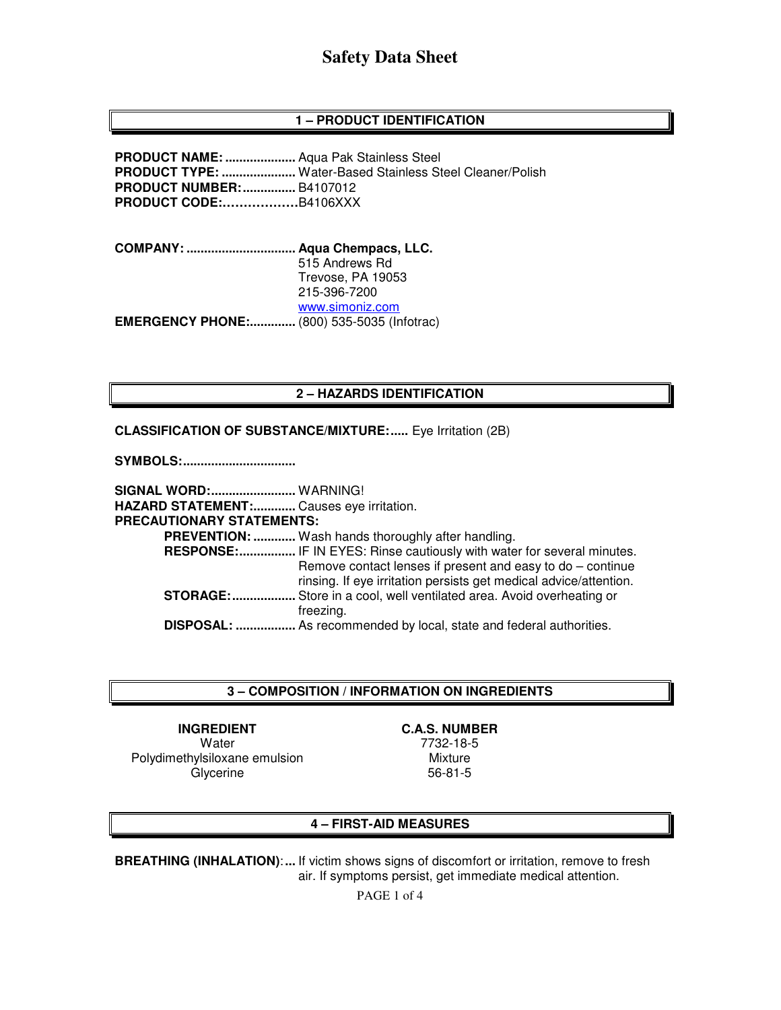# **1 – PRODUCT IDENTIFICATION**

**PRODUCT NAME: ....................** Aqua Pak Stainless Steel **PRODUCT TYPE: .....................** Water-Based Stainless Steel Cleaner/Polish **PRODUCT NUMBER: ...............** B4107012 **PRODUCT CODE:………………**B4106XXX

**COMPANY: ............................... Aqua Chempacs, LLC.**  515 Andrews Rd Trevose, PA 19053 215-396-7200 www.simoniz.com **EMERGENCY PHONE:.............** (800) 535-5035 (Infotrac)

## **2 – HAZARDS IDENTIFICATION**

#### **CLASSIFICATION OF SUBSTANCE/MIXTURE:.....** Eye Irritation (2B)

**SYMBOLS: ................................** 

**SIGNAL WORD: ........................** WARNING! **HAZARD STATEMENT: ............** Causes eye irritation. **PRECAUTIONARY STATEMENTS: PREVENTION: ............** Wash hands thoroughly after handling.  **RESPONSE: ................** IF IN EYES: Rinse cautiously with water for several minutes. Remove contact lenses if present and easy to do – continue rinsing. If eye irritation persists get medical advice/attention. **STORAGE: ..................** Store in a cool, well ventilated area. Avoid overheating or freezing.  **DISPOSAL: .................** As recommended by local, state and federal authorities.

### **3 – COMPOSITION / INFORMATION ON INGREDIENTS**

**INGREDIENT C.A.S. NUMBER Water** Polydimethylsiloxane emulsion **Glycerine** 

7732-18-5

Mixture 56-81-5

## **4 – FIRST-AID MEASURES**

**BREATHING (INHALATION)**: **...** If victim shows signs of discomfort or irritation, remove to fresh air. If symptoms persist, get immediate medical attention.

PAGE 1 of 4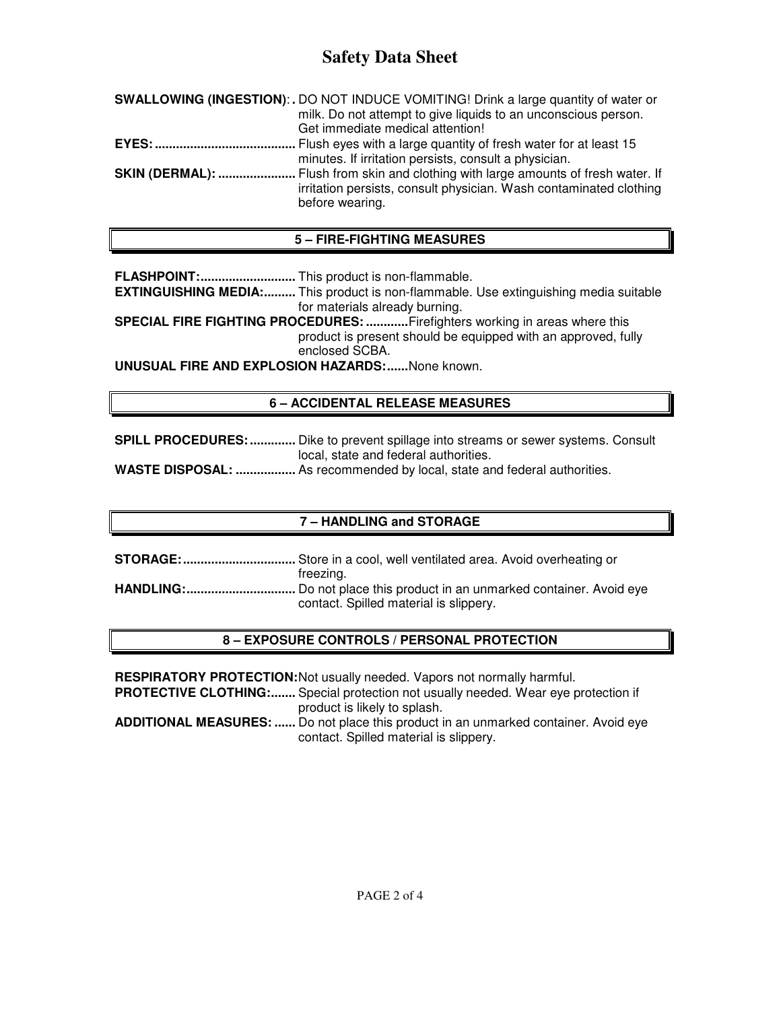# **Safety Data Sheet**

| SWALLOWING (INGESTION): . DO NOT INDUCE VOMITING! Drink a large quantity of water or                                                                                               |
|------------------------------------------------------------------------------------------------------------------------------------------------------------------------------------|
| milk. Do not attempt to give liquids to an unconscious person.                                                                                                                     |
| Get immediate medical attention!                                                                                                                                                   |
|                                                                                                                                                                                    |
| minutes. If irritation persists, consult a physician.                                                                                                                              |
| <b>SKIN (DERMAL): </b> Flush from skin and clothing with large amounts of fresh water. If<br>irritation persists, consult physician. Wash contaminated clothing<br>before wearing. |
|                                                                                                                                                                                    |

# **5 – FIRE-FIGHTING MEASURES**

**FLASHPOINT: ...........................** This product is non-flammable.

**EXTINGUISHING MEDIA:.........** This product is non-flammable. Use extinguishing media suitable for materials already burning.

**SPECIAL FIRE FIGHTING PROCEDURES: ............** Firefighters working in areas where this product is present should be equipped with an approved, fully enclosed SCBA.

**UNUSUAL FIRE AND EXPLOSION HAZARDS: ......** None known.

# **6 – ACCIDENTAL RELEASE MEASURES**

**SPILL PROCEDURES: .............** Dike to prevent spillage into streams or sewer systems. Consult local, state and federal authorities.

**WASTE DISPOSAL: .................** As recommended by local, state and federal authorities.

# **7 – HANDLING and STORAGE**

**STORAGE: ................................** Store in a cool, well ventilated area. Avoid overheating or freezing. **HANDLING: ...............................** Do not place this product in an unmarked container. Avoid eye contact. Spilled material is slippery.

# **8 – EXPOSURE CONTROLS / PERSONAL PROTECTION**

**RESPIRATORY PROTECTION: Not usually needed. Vapors not normally harmful. PROTECTIVE CLOTHING:.......** Special protection not usually needed. Wear eye protection if product is likely to splash. **ADDITIONAL MEASURES: ......** Do not place this product in an unmarked container. Avoid eye contact. Spilled material is slippery.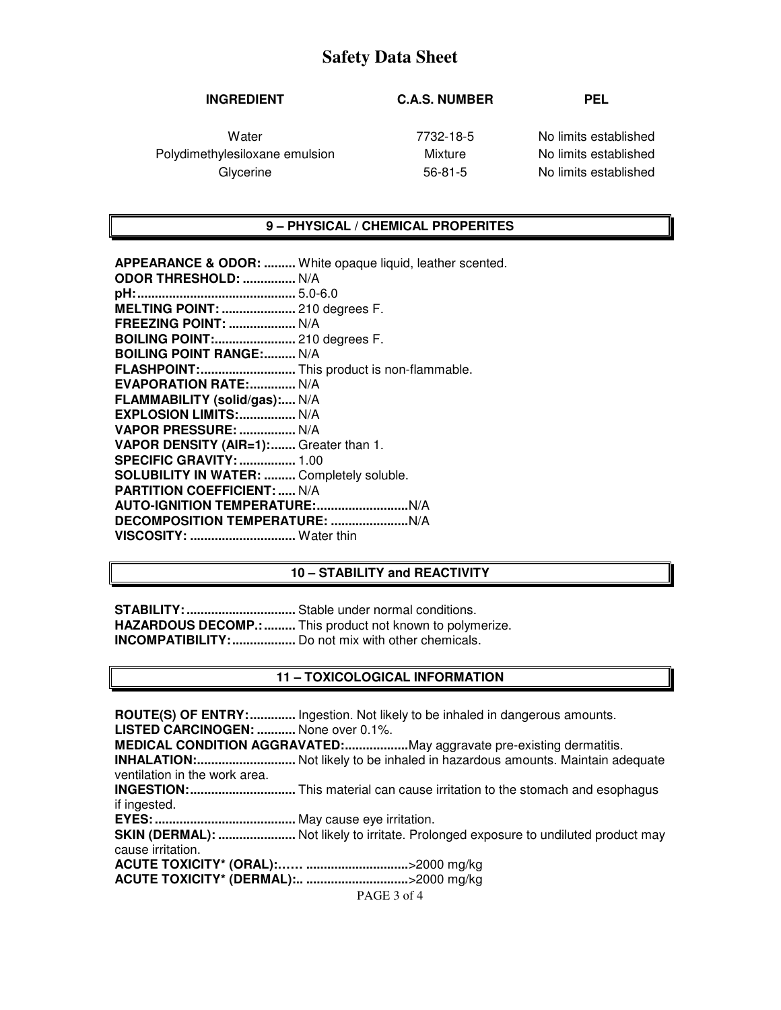# **Safety Data Sheet**

## **INGREDIENT C.A.S. NUMBER PEL**

Polydimethylesiloxane emulsion Mixture No limits established Glycerine 56-81-5 No limits established

Water **1988** Water 1989 **Water** 7732-18-5 No limits established

#### **9 – PHYSICAL / CHEMICAL PROPERITES**

**APPEARANCE & ODOR: .........** White opaque liquid, leather scented. **ODOR THRESHOLD: ...............** N/A **pH: .............................................** 5.0-6.0 **MELTING POINT: .....................** 210 degrees F. **FREEZING POINT: ...................** N/A **BOILING POINT:.......................** 210 degrees F. **BOILING POINT RANGE:......... N/A FLASHPOINT: ...........................** This product is non-flammable. **EVAPORATION RATE: .............. N/A FLAMMABILITY (solid/gas):....** N/A **EXPLOSION LIMITS: ................** N/A **VAPOR PRESSURE: ................** N/A **VAPOR DENSITY (AIR=1): .......** Greater than 1. **SPECIFIC GRAVITY: ................** 1.00 **SOLUBILITY IN WATER: .........** Completely soluble. **PARTITION COEFFICIENT: .....** N/A **AUTO-IGNITION TEMPERATURE: ..........................** N/A **DECOMPOSITION TEMPERATURE: ......................** N/A **VISCOSITY: ..............................** Water thin

### **10 – STABILITY and REACTIVITY**

**STABILITY: ...............................** Stable under normal conditions. **HAZARDOUS DECOMP.: .........** This product not known to polymerize. **INCOMPATIBILITY: ..................** Do not mix with other chemicals.

### **11 – TOXICOLOGICAL INFORMATION**

**ROUTE(S) OF ENTRY: .............** Ingestion. Not likely to be inhaled in dangerous amounts. **LISTED CARCINOGEN: ...........** None over 0.1%. **MEDICAL CONDITION AGGRAVATED: ..................** May aggravate pre-existing dermatitis. **INHALATION: ............................** Not likely to be inhaled in hazardous amounts. Maintain adequate ventilation in the work area. **INGESTION: ..............................** This material can cause irritation to the stomach and esophagus if ingested. **EYES: ........................................** May cause eye irritation. **SKIN (DERMAL): ........................** Not likely to irritate. Prolonged exposure to undiluted product may cause irritation. **ACUTE TOXICITY\* (ORAL):…… .............................** >2000 mg/kg **ACUTE TOXICITY\* (DERMAL):.. .............................** >2000 mg/kg

PAGE 3 of 4